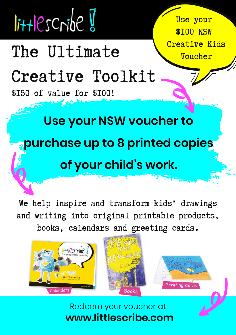# $I$ ittlescribe

## The Ultimate V<sup>Creative Kids</sup>

### Creative Toolkit

\$150 of value for \$100!

Use your **\$TOO NSW** 

#### **Use your NSW voucher to**

#### **purchase up to 8 printed copies**

#### **of your child's work.**

We help inspire and transform kids' drawings and writing into original printable products, books, calendars and greeting cards.



**[www.littlescribe.com](https://www.littlescribe.com/parents-nsw-creative-arts-voucher/)** Redeem your voucher at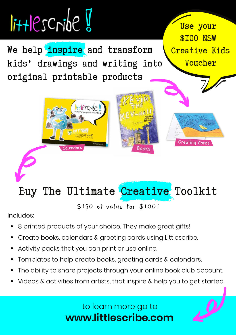

#### Buy The Ultimate Creative Toolkit

\$150 of value for \$100!

Includes:

- 8 printed products of your choice. They make great gifts!
- Create books, calendars & greeting cards using Littlescribe.
- Activity packs that you can print or use online.
- Templates to help create books, greeting cards & calendars.
- The ability to share projects through your online book club account.
- Videos & activities from artists, that inspire & help you to get started.

#### **[www.littlescribe.com](https://www.littlescribe.com/creative-toolkit/)** to learn more go to